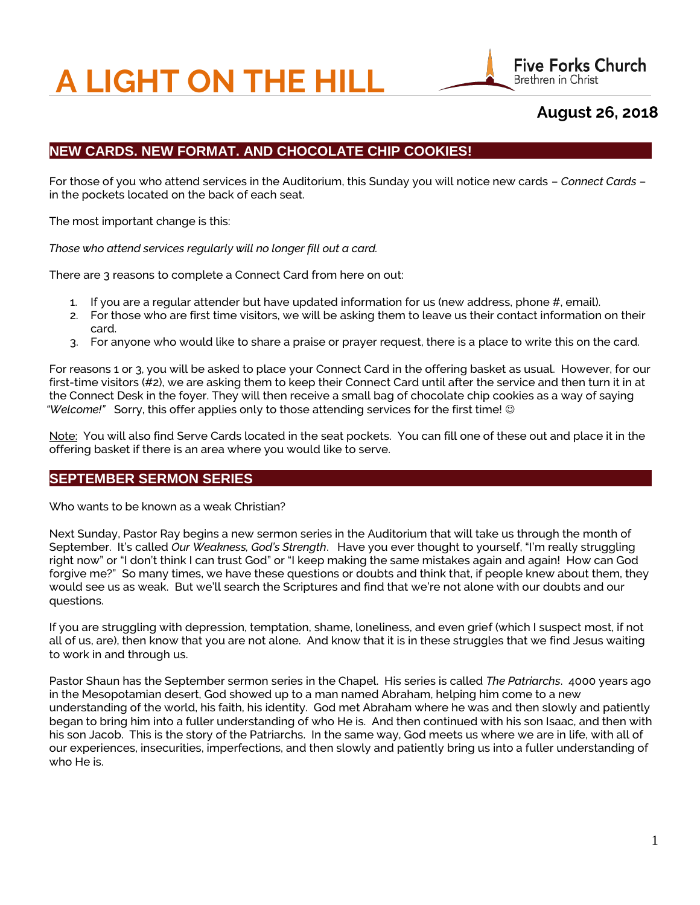# **A LIGHT ON THE HILL**



# **August 26, 2018**

# **NEW CARDS. NEW FORMAT. AND CHOCOLATE CHIP COOKIES!**

 For those of you who attend services in the Auditorium, this Sunday you will notice new cards – *Connect Cards* – in the pockets located on the back of each seat.

The most important change is this:

 *Those who attend services regularly will no longer fill out a card.*

There are 3 reasons to complete a Connect Card from here on out:

- 1. If you are a regular attender but have updated information for us (new address, phone #, email).
- 2. For those who are first time visitors, we will be asking them to leave us their contact information on their card.
- 3. For anyone who would like to share a praise or prayer request, there is a place to write this on the card.

 For reasons 1 or 3, you will be asked to place your Connect Card in the offering basket as usual. However, for our first-time visitors (#2), we are asking them to keep their Connect Card until after the service and then turn it in at the Connect Desk in the foyer. They will then receive a small bag of chocolate chip cookies as a way of saying  *"Welcome!"* Sorry, this offer applies only to those attending services for the first time!

Note: You will also find Serve Cards located in the seat pockets. You can fill one of these out and place it in the offering basket if there is an area where you would like to serve.

## **SEPTEMBER SERMON SERIES**

Who wants to be known as a weak Christian?

 Next Sunday, Pastor Ray begins a new sermon series in the Auditorium that will take us through the month of September. It's called *Our Weakness, God's Strength*. Have you ever thought to yourself, "I'm really struggling right now" or "I don't think I can trust God" or "I keep making the same mistakes again and again! How can God forgive me?" So many times, we have these questions or doubts and think that, if people knew about them, they would see us as weak. But we'll search the Scriptures and find that we're not alone with our doubts and our questions.

 If you are struggling with depression, temptation, shame, loneliness, and even grief (which I suspect most, if not all of us, are), then know that you are not alone. And know that it is in these struggles that we find Jesus waiting to work in and through us.

 Pastor Shaun has the September sermon series in the Chapel. His series is called *The Patriarchs*. 4000 years ago in the Mesopotamian desert, God showed up to a man named Abraham, helping him come to a new understanding of the world, his faith, his identity. God met Abraham where he was and then slowly and patiently began to bring him into a fuller understanding of who He is. And then continued with his son Isaac, and then with his son Jacob. This is the story of the Patriarchs. In the same way, God meets us where we are in life, with all of our experiences, insecurities, imperfections, and then slowly and patiently bring us into a fuller understanding of who He is.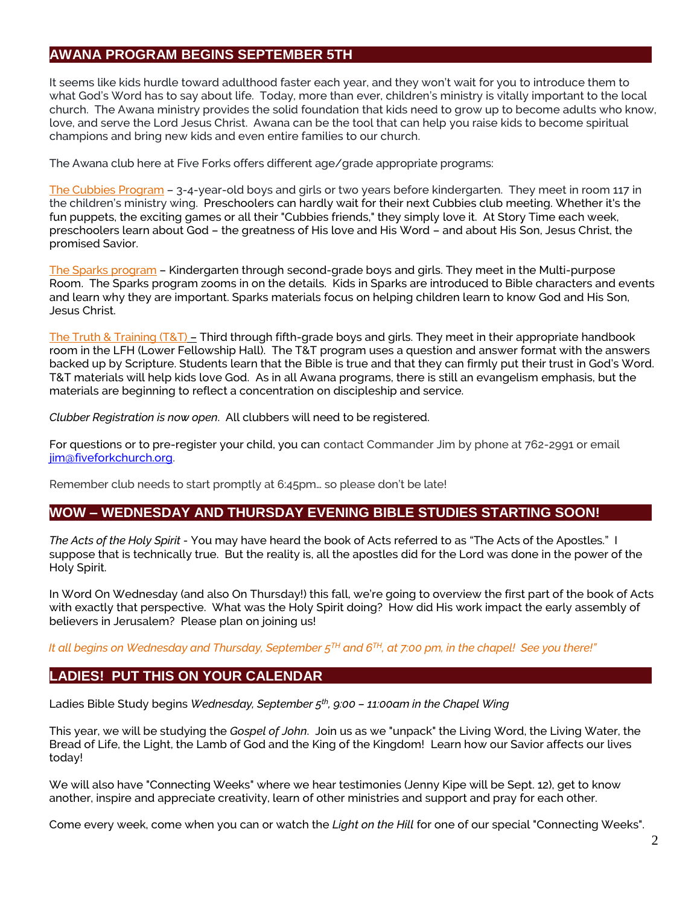#### **AWANA PROGRAM BEGINS SEPTEMBER 5TH**

It seems like kids hurdle toward adulthood faster each year, and they won't wait for you to introduce them to what God's Word has to say about life. Today, more than ever, children's ministry is vitally important to the local church. The Awana ministry provides the solid foundation that kids need to grow up to become adults who know, love, and serve the Lord Jesus Christ. Awana can be the tool that can help you raise kids to become spiritual champions and bring new kids and even entire families to our church.

The Awana club here at Five Forks offers different age/grade appropriate programs:

The Cubbies Program – 3-4-year-old boys and girls or two years before kindergarten. They meet in room 117 in the children's ministry wing. Preschoolers can hardly wait for their next Cubbies club meeting. Whether it's the fun puppets, the exciting games or all their "Cubbies friends," they simply love it. At Story Time each week, preschoolers learn about God – the greatness of His love and His Word – and about His Son, Jesus Christ, the promised Savior.

The Sparks program – Kindergarten through second-grade boys and girls. They meet in the Multi-purpose Room. The Sparks program zooms in on the details. Kids in Sparks are introduced to Bible characters and events and learn why they are important. Sparks materials focus on helping children learn to know God and His Son, Jesus Christ.

The Truth & Training (T&T) – Third through fifth-grade boys and girls. They meet in their appropriate handbook room in the LFH (Lower Fellowship Hall). The T&T program uses a question and answer format with the answers backed up by Scripture. Students learn that the Bible is true and that they can firmly put their trust in God's Word. T&T materials will help kids love God. As in all Awana programs, there is still an evangelism emphasis, but the materials are beginning to reflect a concentration on discipleship and service.

*Clubber Registration is now open*. All clubbers will need to be registered.

For questions or to pre-register your child, you can contact Commander Jim by phone at 762-2991 or email [jim@fiveforkchurch.org.](mailto:jim@fiveforkchurch.org)

Remember club needs to start promptly at 6:45pm… so please don't be late!

## **WOW – WEDNESDAY AND THURSDAY EVENING BIBLE STUDIES STARTING SOON!**

 *The Acts of the Holy Spirit -* You may have heard the book of Acts referred to as "The Acts of the Apostles." I suppose that is technically true. But the reality is, all the apostles did for the Lord was done in the power of the Holy Spirit.

 In Word On Wednesday (and also On Thursday!) this fall, we're going to overview the first part of the book of Acts with exactly that perspective. What was the Holy Spirit doing? How did His work impact the early assembly of believers in Jerusalem? Please plan on joining us!

 *It all begins on Wednesday and Thursday, September 5TH and 6TH, at 7:00 pm, in the chapel! See you there!"*

#### **LADIES! PUT THIS ON YOUR CALENDAR**

Ladies Bible Study begins *Wednesday, September 5th, 9:00 – 11:00am in the Chapel Wing*

 This year, we will be studying the *Gospel of John*. Join us as we "unpack" the Living Word, the Living Water, the Bread of Life, the Light, the Lamb of God and the King of the Kingdom! Learn how our Savior affects our lives today!

 We will also have "Connecting Weeks" where we hear testimonies (Jenny Kipe will be Sept. 12), get to know another, inspire and appreciate creativity, learn of other ministries and support and pray for each other.

Come every week, come when you can or watch the *Light on the Hill* for one of our special "Connecting Weeks".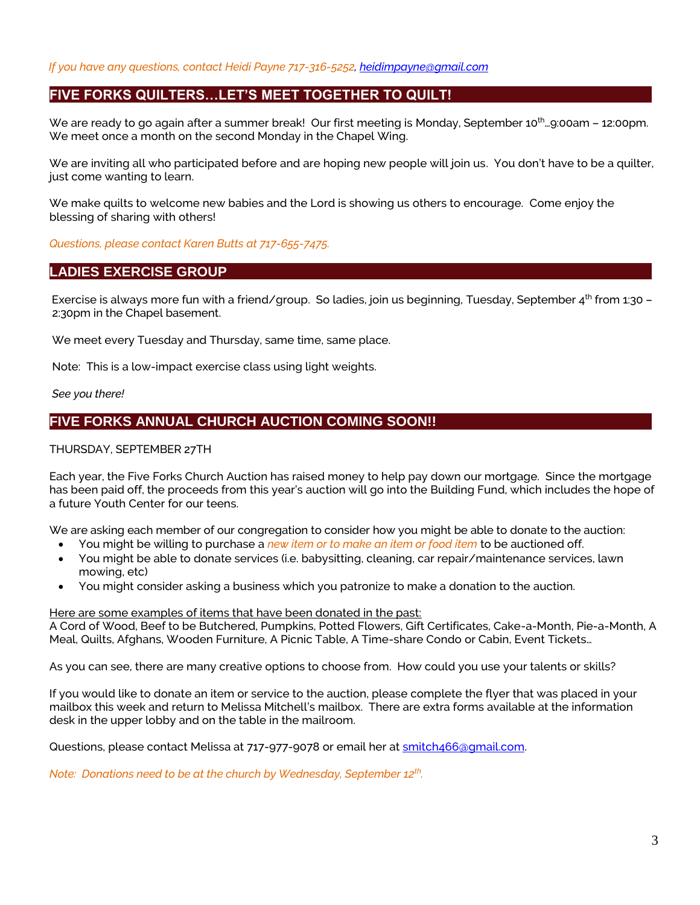*If you have any questions, contact Heidi Payne 717-316-5252[, heidimpayne@gmail.com](mailto:heidimpayne@gmail.com)*

#### **FIVE FORKS QUILTERS…LET'S MEET TOGETHER TO QUILT!**

We are ready to go again after a summer break! Our first meeting is Monday, September 10<sup>th</sup>…9:00am – 12:00pm. We meet once a month on the second Monday in the Chapel Wing.

We are inviting all who participated before and are hoping new people will join us. You don't have to be a quilter, just come wanting to learn.

We make quilts to welcome new babies and the Lord is showing us others to encourage. Come enjoy the blessing of sharing with others!

*Questions, please contact Karen Butts at 717-655-7475.*

#### **LADIES EXERCISE GROUP**

Exercise is always more fun with a friend/group. So ladies, join us beginning, Tuesday, September 4<sup>th</sup> from 1:30 -2:30pm in the Chapel basement.

We meet every Tuesday and Thursday, same time, same place.

Note: This is a low-impact exercise class using light weights.

*See you there!*

## **FIVE FORKS ANNUAL CHURCH AUCTION COMING SOON!!**

#### THURSDAY, SEPTEMBER 27TH

Each year, the Five Forks Church Auction has raised money to help pay down our mortgage. Since the mortgage has been paid off, the proceeds from this year's auction will go into the Building Fund, which includes the hope of a future Youth Center for our teens.

We are asking each member of our congregation to consider how you might be able to donate to the auction:

- You might be willing to purchase a *new item or to make an item or food item* to be auctioned off.
- You might be able to donate services (i.e. babysitting, cleaning, car repair/maintenance services, lawn mowing, etc)
- You might consider asking a business which you patronize to make a donation to the auction.

#### Here are some examples of items that have been donated in the past:

A Cord of Wood, Beef to be Butchered, Pumpkins, Potted Flowers, Gift Certificates, Cake-a-Month, Pie-a-Month, A Meal, Quilts, Afghans, Wooden Furniture, A Picnic Table, A Time-share Condo or Cabin, Event Tickets…

As you can see, there are many creative options to choose from. How could you use your talents or skills?

If you would like to donate an item or service to the auction, please complete the flyer that was placed in your mailbox this week and return to Melissa Mitchell's mailbox. There are extra forms available at the information desk in the upper lobby and on the table in the mailroom.

Questions, please contact Melissa at 717-977-9078 or email her at smitch466@qmail.com.

*Note: Donations need to be at the church by Wednesday, September 12th .*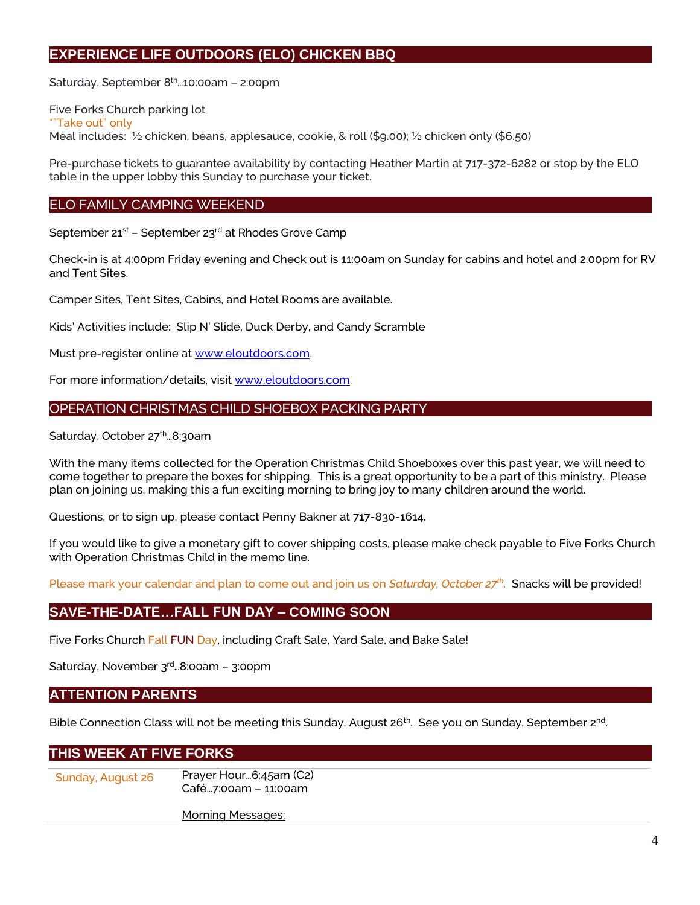## **EXPERIENCE LIFE OUTDOORS (ELO) CHICKEN BBQ**

Saturday, September 8<sup>th</sup>...10:00am - 2:00pm

Five Forks Church parking lot \*"Take out" only Meal includes: ½ chicken, beans, applesauce, cookie, & roll (\$9.00); ½ chicken only (\$6.50)

Pre-purchase tickets to guarantee availability by contacting Heather Martin at 717-372-6282 or stop by the ELO table in the upper lobby this Sunday to purchase your ticket.

#### ELO FAMILY CAMPING WEEKEND

September 21<sup>st</sup> – September 23<sup>rd</sup> at Rhodes Grove Camp

Check-in is at 4:00pm Friday evening and Check out is 11:00am on Sunday for cabins and hotel and 2:00pm for RV and Tent Sites.

Camper Sites, Tent Sites, Cabins, and Hotel Rooms are available.

Kids' Activities include: Slip N' Slide, Duck Derby, and Candy Scramble

Must pre-register online at [www.eloutdoors.com.](http://www.eloutdoors.com/)

For more information/details, visit [www.eloutdoors.com.](http://www.eloutdoors.com/)

#### OPERATION CHRISTMAS CHILD SHOEBOX PACKING PARTY

Saturday, October 27<sup>th</sup>...8:30am

With the many items collected for the Operation Christmas Child Shoeboxes over this past year, we will need to come together to prepare the boxes for shipping. This is a great opportunity to be a part of this ministry. Please plan on joining us, making this a fun exciting morning to bring joy to many children around the world.

Questions, or to sign up, please contact Penny Bakner at 717-830-1614.

If you would like to give a monetary gift to cover shipping costs, please make check payable to Five Forks Church with Operation Christmas Child in the memo line.

Please mark your calendar and plan to come out and join us on *Saturday, October 27th* . Snacks will be provided!

## **SAVE-THE-DATE…FALL FUN DAY – COMING SOON**

Five Forks Church Fall FUN Day, including Craft Sale, Yard Sale, and Bake Sale!

Saturday, November 3rd…8:00am – 3:00pm

#### **ATTENTION PARENTS**

Bible Connection Class will not be meeting this Sunday, August 26 $^{\rm th}$ . See you on Sunday, September 2 $^{\rm nd}$ .

## **THIS WEEK AT FIVE FORKS**

| Sunday, August 26 | Prayer Hour6:45am (C2)<br>Café7:00am - 11:00am |
|-------------------|------------------------------------------------|
|                   | <b>Morning Messages:</b>                       |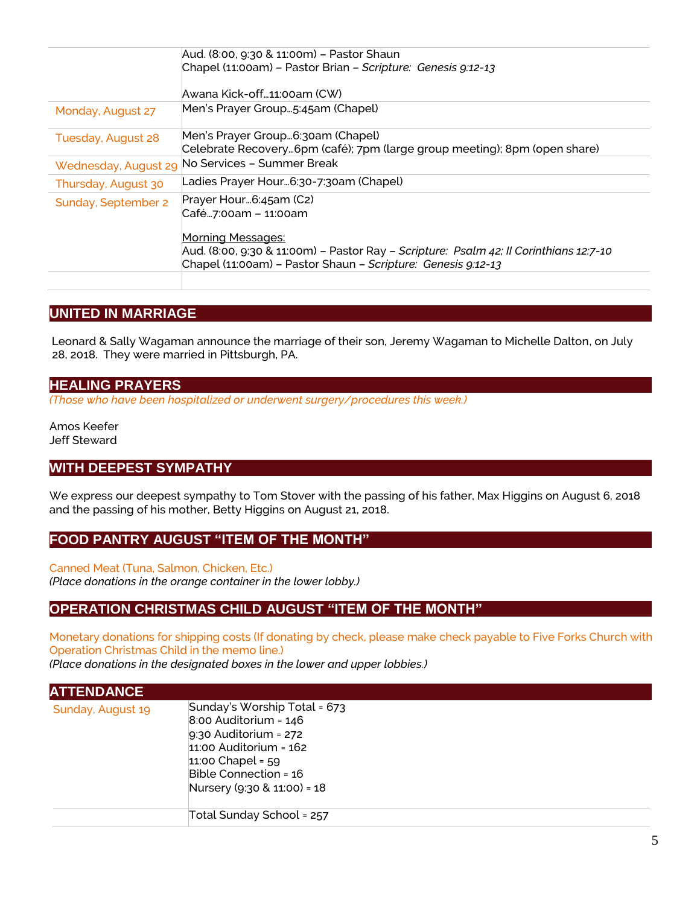| Chapel (11:00am) - Pastor Brian - Scripture: Genesis 9:12-13<br>Awana Kick-off…11:00am (CW)                                                                                                                                         |
|-------------------------------------------------------------------------------------------------------------------------------------------------------------------------------------------------------------------------------------|
|                                                                                                                                                                                                                                     |
|                                                                                                                                                                                                                                     |
| Men's Prayer Group5:45am (Chapel)                                                                                                                                                                                                   |
| Men's Prayer Group6:30am (Chapel)<br>Celebrate Recovery6pm (café); 7pm (large group meeting); 8pm (open share)                                                                                                                      |
| No Services - Summer Break                                                                                                                                                                                                          |
| Ladies Prayer Hour6:30-7:30am (Chapel)                                                                                                                                                                                              |
| Prayer Hour6:45am (C2)<br>Café7:00am - 11:00am<br><b>Morning Messages:</b><br>Aud. (8:00, 9:30 & 11:00m) - Pastor Ray - Scripture: Psalm 42; Il Corinthians 12:7-10<br>Chapel (11:00am) - Pastor Shaun - Scripture: Genesis 9:12-13 |
|                                                                                                                                                                                                                                     |

## **UNITED IN MARRIAGE**

 Leonard & Sally Wagaman announce the marriage of their son, Jeremy Wagaman to Michelle Dalton, on July 28, 2018. They were married in Pittsburgh, PA.

#### **HEALING PRAYERS**

*(Those who have been hospitalized or underwent surgery/procedures this week.)*

Amos Keefer Jeff Steward

## **WITH DEEPEST SYMPATHY**

We express our deepest sympathy to Tom Stover with the passing of his father, Max Higgins on August 6, 2018 and the passing of his mother, Betty Higgins on August 21, 2018.

#### **FOOD PANTRY AUGUST "ITEM OF THE MONTH"**

Canned Meat (Tuna, Salmon, Chicken, Etc.) *(Place donations in the orange container in the lower lobby.)*

## **OPERATION CHRISTMAS CHILD AUGUST "ITEM OF THE MONTH"**

Monetary donations for shipping costs (If donating by check, please make check payable to Five Forks Church with Operation Christmas Child in the memo line.) *(Place donations in the designated boxes in the lower and upper lobbies.)*

# **ATTENDANCE**

| Sunday, August 19 | Sunday's Worship Total = 673<br>$8:00$ Auditorium = $146$<br>$9:30$ Auditorium = 272<br>$11:00$ Auditorium = $162$<br>$11:00$ Chapel = 59<br>Bible Connection = 16<br>Nursery (9:30 & 11:00) = 18 |
|-------------------|---------------------------------------------------------------------------------------------------------------------------------------------------------------------------------------------------|
|                   | Total Sunday School = 257                                                                                                                                                                         |